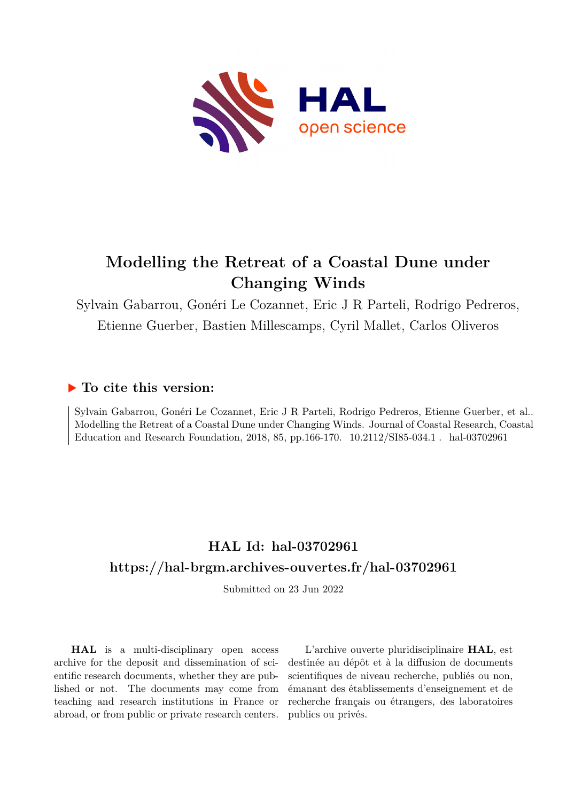

# **Modelling the Retreat of a Coastal Dune under Changing Winds**

Sylvain Gabarrou, Gonéri Le Cozannet, Eric J R Parteli, Rodrigo Pedreros, Etienne Guerber, Bastien Millescamps, Cyril Mallet, Carlos Oliveros

## **To cite this version:**

Sylvain Gabarrou, Gonéri Le Cozannet, Eric J R Parteli, Rodrigo Pedreros, Etienne Guerber, et al.. Modelling the Retreat of a Coastal Dune under Changing Winds. Journal of Coastal Research, Coastal Education and Research Foundation, 2018, 85, pp.166-170. 10.2112/SI85-034.1 . hal-03702961

## **HAL Id: hal-03702961 <https://hal-brgm.archives-ouvertes.fr/hal-03702961>**

Submitted on 23 Jun 2022

**HAL** is a multi-disciplinary open access archive for the deposit and dissemination of scientific research documents, whether they are published or not. The documents may come from teaching and research institutions in France or abroad, or from public or private research centers.

L'archive ouverte pluridisciplinaire **HAL**, est destinée au dépôt et à la diffusion de documents scientifiques de niveau recherche, publiés ou non, émanant des établissements d'enseignement et de recherche français ou étrangers, des laboratoires publics ou privés.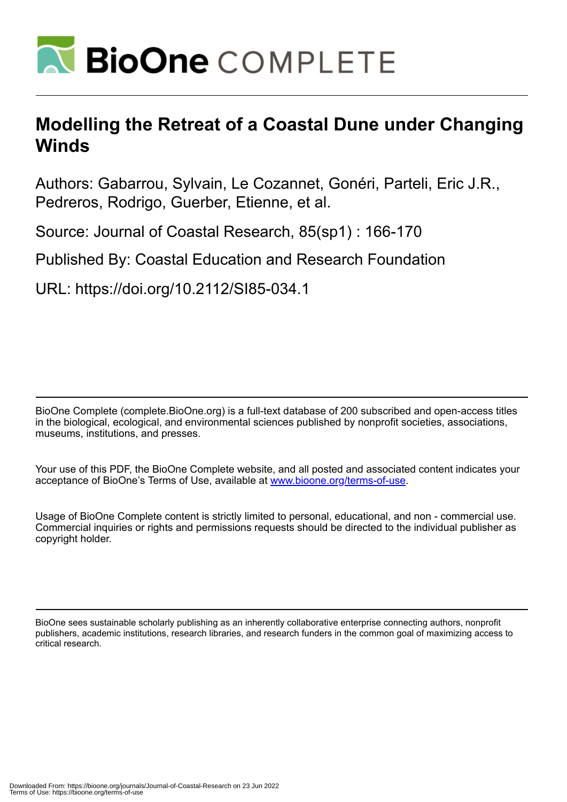

# **Modelling the Retreat of a Coastal Dune under Changing Winds**

Authors: Gabarrou, Sylvain, Le Cozannet, Gonéri, Parteli, Eric J.R., Pedreros, Rodrigo, Guerber, Etienne, et al.

Source: Journal of Coastal Research, 85(sp1) : 166-170

Published By: Coastal Education and Research Foundation

URL: https://doi.org/10.2112/SI85-034.1

BioOne Complete (complete.BioOne.org) is a full-text database of 200 subscribed and open-access titles in the biological, ecological, and environmental sciences published by nonprofit societies, associations, museums, institutions, and presses.

Your use of this PDF, the BioOne Complete website, and all posted and associated content indicates your acceptance of BioOne's Terms of Use, available at www.bioone.org/terms-of-use.

Usage of BioOne Complete content is strictly limited to personal, educational, and non - commercial use. Commercial inquiries or rights and permissions requests should be directed to the individual publisher as copyright holder.

BioOne sees sustainable scholarly publishing as an inherently collaborative enterprise connecting authors, nonprofit publishers, academic institutions, research libraries, and research funders in the common goal of maximizing access to critical research.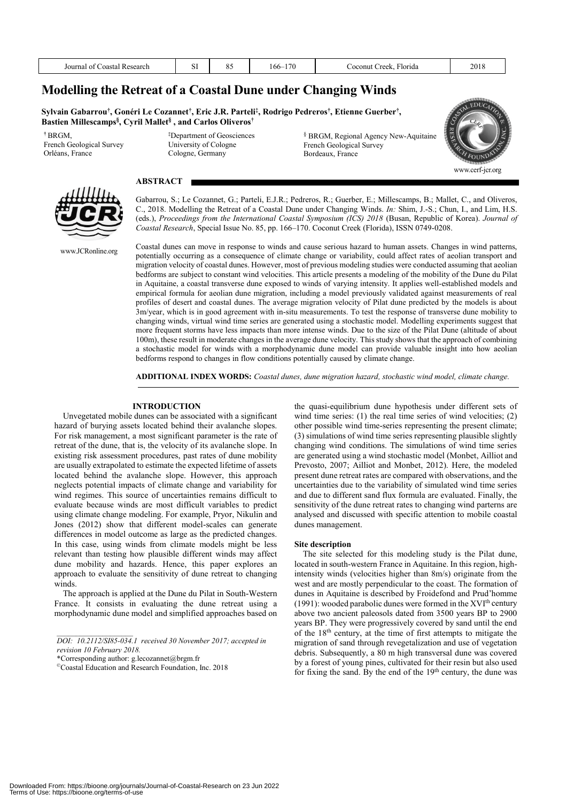| Coastal<br>' Research<br>ournal | $\sim$<br>υı | $\mathbf{v}$ | 170<br>166– | --<br>∙lorıda<br>raal<br>onut<br>- - - - - -<br>. .<br>$\sim$ | 201'<br>201 C<br>____ |
|---------------------------------|--------------|--------------|-------------|---------------------------------------------------------------|-----------------------|
|                                 |              |              |             |                                                               |                       |

### **Modelling the Retreat of a Coastal Dune under Changing Winds**

 $\mathbf{Sy}$ Ivain Gabarrou†, Gonéri Le Cozannet†, Eric J.R. Parteli‡, Rodrigo Pedreros†, Etienne Guerber†, **Bastien Millescamps§, Cyril Mallet§ , and Carlos Oliveros†**

> **‡** Department of Geosciences University of Cologne Cologne, Germany

**†** BRGM, French Geological Survey Orléans, France

#### **ABSTRACT**



www.JCRonline.org

§ BRGM, Regional Agency New-Aquitaine French Geological Survey Bordeaux, France



Gabarrou, S.; Le Cozannet, G.; Parteli, E.J.R.; Pedreros, R.; Guerber, E.; Millescamps, B.; Mallet, C., and Oliveros, C., 2018. Modelling the Retreat of a Coastal Dune under Changing Winds. *In:* Shim, J.-S.; Chun, I., and Lim, H.S. (eds.), *Proceedings from the International Coastal Symposium (ICS) 2018* (Busan, Republic of Korea). *Journal of Coastal Research*, Special Issue No. 85, pp. 166–170. Coconut Creek (Florida), ISSN 0749-0208. Coastal dunes can move in response to winds and cause serious hazard to human assets. Changes in wind patterns,

potentially occurring as a consequence of climate change or variability, could affect rates of aeolian transport and migration velocity of coastal dunes. However, most of previous modeling studies were conducted assuming that aeolian bedforms are subject to constant wind velocities. This article presents a modeling of the mobility of the Dune du Pilat in Aquitaine, a coastal transverse dune exposed to winds of varying intensity. It applies well-established models and empirical formula for aeolian dune migration, including a model previously validated against measurements of real profiles of desert and coastal dunes. The average migration velocity of Pilat dune predicted by the models is about 3m/year, which is in good agreement with in-situ measurements. To test the response of transverse dune mobility to changing winds, virtual wind time series are generated using a stochastic model. Modelling experiments suggest that more frequent storms have less impacts than more intense winds. Due to the size of the Pilat Dune (altitude of about 100m), these result in moderate changes in the average dune velocity. This study shows that the approach of combining a stochastic model for winds with a morphodynamic dune model can provide valuable insight into how aeolian bedforms respond to changes in flow conditions potentially caused by climate change.

**ADDITIONAL INDEX WORDS:** *Coastal dunes, dune migration hazard, stochastic wind model, climate change.*

#### **INTRODUCTION**

Unvegetated mobile dunes can be associated with a significant hazard of burying assets located behind their avalanche slopes. For risk management, a most significant parameter is the rate of retreat of the dune, that is, the velocity of its avalanche slope. In existing risk assessment procedures, past rates of dune mobility are usually extrapolated to estimate the expected lifetime of assets located behind the avalanche slope. However, this approach neglects potential impacts of climate change and variability for wind regimes. This source of uncertainties remains difficult to evaluate because winds are most difficult variables to predict using climate change modeling. For example, Pryor, Nikulin and Jones (2012) show that different model-scales can generate differences in model outcome as large as the predicted changes. In this case, using winds from climate models might be less relevant than testing how plausible different winds may affect dune mobility and hazards. Hence, this paper explores an approach to evaluate the sensitivity of dune retreat to changing winds.

The approach is applied at the Dune du Pilat in South-Western France. It consists in evaluating the dune retreat using a morphodynamic dune model and simplified approaches based on

*\_\_\_\_\_\_\_\_\_\_\_\_\_\_\_\_\_\_\_\_ DOI: 10.2112/SI85-034.1 received 30 November 2017; accepted in revision 10 February 2018.*

\*Corresponding author: g.lecozannet@brgm.fr

the quasi-equilibrium dune hypothesis under different sets of wind time series: (1) the real time series of wind velocities; (2) other possible wind time-series representing the present climate; (3) simulations of wind time series representing plausible slightly changing wind conditions. The simulations of wind time series are generated using a wind stochastic model (Monbet, Ailliot and Prevosto, 2007; Ailliot and Monbet, 2012). Here, the modeled present dune retreat rates are compared with observations, and the uncertainties due to the variability of simulated wind time series and due to different sand flux formula are evaluated. Finally, the sensitivity of the dune retreat rates to changing wind parterns are analysed and discussed with specific attention to mobile coastal dunes management.

#### **Site description**

The site selected for this modeling study is the Pilat dune, located in south-western France in Aquitaine. In this region, highintensity winds (velocities higher than 8m/s) originate from the west and are mostly perpendicular to the coast. The formation of dunes in Aquitaine is described by Froidefond and Prud'homme (1991): wooded parabolic dunes were formed in the  $XVI<sup>th</sup>$  century above two ancient paleosols dated from 3500 years BP to 2900 years BP. They were progressively covered by sand until the end of the 18th century, at the time of first attempts to mitigate the migration of sand through revegetalization and use of vegetation debris. Subsequently, a 80 m high transversal dune was covered by a forest of young pines, cultivated for their resin but also used for fixing the sand. By the end of the 19th century, the dune was

<sup>©</sup>Coastal Education and Research Foundation, Inc. 2018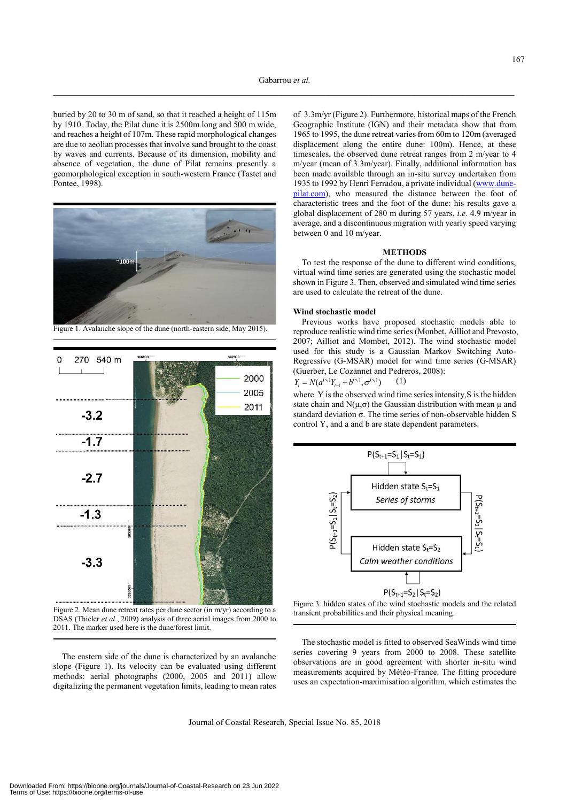buried by 20 to 30 m of sand, so that it reached a height of 115m by 1910. Today, the Pilat dune it is 2500m long and 500 m wide, and reaches a height of 107m. These rapid morphological changes are due to aeolian processes that involve sand brought to the coast by waves and currents. Because of its dimension, mobility and absence of vegetation, the dune of Pilat remains presently a geomorphological exception in south-western France (Tastet and Pontee, 1998).



Figure 1. Avalanche slope of the dune (north-eastern side, May 2015).



Figure 2. Mean dune retreat rates per dune sector (in m/yr) according to a DSAS (Thieler *et al.*, 2009) analysis of three aerial images from 2000 to 2011. The marker used here is the dune/forest limit.

The eastern side of the dune is characterized by an avalanche slope (Figure 1). Its velocity can be evaluated using different methods: aerial photographs (2000, 2005 and 2011) allow digitalizing the permanent vegetation limits, leading to mean rates of 3.3m/yr (Figure 2). Furthermore, historical maps of the French Geographic Institute (IGN) and their metadata show that from 1965 to 1995, the dune retreat varies from 60m to 120m (averaged displacement along the entire dune: 100m). Hence, at these timescales, the observed dune retreat ranges from 2 m/year to 4 m/year (mean of 3.3m/year). Finally, additional information has been made available through an in-situ survey undertaken from 1935 to 1992 by Henri Ferradou, a private individual (www.dunepilat.com), who measured the distance between the foot of characteristic trees and the foot of the dune: his results gave a global displacement of 280 m during 57 years, *i.e.* 4.9 m/year in average, and a discontinuous migration with yearly speed varying between 0 and 10 m/year.

#### **METHODS**

To test the response of the dune to different wind conditions, virtual wind time series are generated using the stochastic model shown in Figure 3. Then, observed and simulated wind time series are used to calculate the retreat of the dune.

#### **Wind stochastic model**

Previous works have proposed stochastic models able to reproduce realistic wind time series (Monbet, Ailliot and Prevosto, 2007; Ailliot and Mombet, 2012). The wind stochastic model used for this study is a Gaussian Markov Switching Auto-Regressive (G-MSAR) model for wind time series (G-MSAR) (Guerber, Le Cozannet and Pedreros, 2008):

$$
Y_t = N(a^{(s_t)}Y_{t-1} + b^{(s_t)}, \sigma^{(s_t)}) \qquad (1)
$$

where Y is the observed wind time series intensity, S is the hidden state chain and  $N(\mu,\sigma)$  the Gaussian distribution with mean  $\mu$  and standard deviation σ. The time series of non-observable hidden S control Y, and a and b are state dependent parameters.



Figure 3. hidden states of the wind stochastic models and the related transient probabilities and their physical meaning.

The stochastic model is fitted to observed SeaWinds wind time series covering 9 years from 2000 to 2008. These satellite observations are in good agreement with shorter in-situ wind measurements acquired by Météo-France. The fitting procedure uses an expectation-maximisation algorithm, which estimates the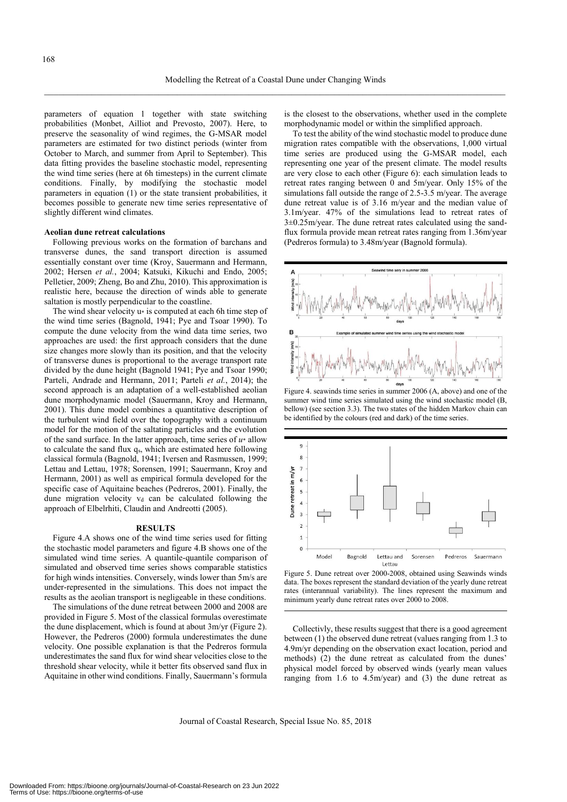parameters of equation 1 together with state switching probabilities (Monbet, Ailliot and Prevosto, 2007). Here, to preserve the seasonality of wind regimes, the G-MSAR model parameters are estimated for two distinct periods (winter from October to March, and summer from April to September). This data fitting provides the baseline stochastic model, representing the wind time series (here at 6h timesteps) in the current climate conditions. Finally, by modifying the stochastic model parameters in equation (1) or the state transient probabilities, it becomes possible to generate new time series representative of slightly different wind climates.

#### **Aeolian dune retreat calculations**

Following previous works on the formation of barchans and transverse dunes, the sand transport direction is assumed essentially constant over time (Kroy, Sauermann and Hermann, 2002; Hersen *et al.*, 2004; Katsuki, Kikuchi and Endo, 2005; Pelletier, 2009; Zheng, Bo and Zhu, 2010). This approximation is realistic here, because the direction of winds able to generate saltation is mostly perpendicular to the coastline.

The wind shear velocity u\* is computed at each 6h time step of the wind time series (Bagnold, 1941; Pye and Tsoar 1990). To compute the dune velocity from the wind data time series, two approaches are used: the first approach considers that the dune size changes more slowly than its position, and that the velocity of transverse dunes is proportional to the average transport rate divided by the dune height (Bagnold 1941; Pye and Tsoar 1990; Parteli, Andrade and Hermann, 2011; Parteli *et al.*, 2014); the second approach is an adaptation of a well-established aeolian dune morphodynamic model (Sauermann, Kroy and Hermann, 2001). This dune model combines a quantitative description of the turbulent wind field over the topography with a continuum model for the motion of the saltating particles and the evolution of the sand surface. In the latter approach, time series of  $u^*$  allow to calculate the sand flux q<sub>s</sub>, which are estimated here following classical formula (Bagnold, 1941; Iversen and Rasmussen, 1999; Lettau and Lettau, 1978; Sorensen, 1991; Sauermann, Kroy and Hermann, 2001) as well as empirical formula developed for the specific case of Aquitaine beaches (Pedreros, 2001). Finally, the dune migration velocity v<sub>d</sub> can be calculated following the approach of Elbelrhiti, Claudin and Andreotti (2005).

#### **RESULTS**

Figure 4.A shows one of the wind time series used for fitting the stochastic model parameters and figure 4.B shows one of the simulated wind time series. A quantile-quantile comparison of simulated and observed time series shows comparable statistics for high winds intensities. Conversely, winds lower than 5m/s are under-represented in the simulations. This does not impact the results as the aeolian transport is negligeable in these conditions.

The simulations of the dune retreat between 2000 and 2008 are provided in Figure 5. Most of the classical formulas overestimate the dune displacement, which is found at about 3m/yr (Figure 2). However, the Pedreros (2000) formula underestimates the dune velocity. One possible explanation is that the Pedreros formula underestimates the sand flux for wind shear velocities close to the threshold shear velocity, while it better fits observed sand flux in Aquitaine in other wind conditions. Finally, Sauermann's formula is the closest to the observations, whether used in the complete morphodynamic model or within the simplified approach.

To test the ability of the wind stochastic model to produce dune migration rates compatible with the observations, 1,000 virtual time series are produced using the G-MSAR model, each representing one year of the present climate. The model results are very close to each other (Figure 6): each simulation leads to retreat rates ranging between 0 and 5m/year. Only 15% of the simulations fall outside the range of 2.5-3.5 m/year. The average dune retreat value is of 3.16 m/year and the median value of 3.1m/year. 47% of the simulations lead to retreat rates of 3±0.25m/year. The dune retreat rates calculated using the sandflux formula provide mean retreat rates ranging from 1.36m/year (Pedreros formula) to 3.48m/year (Bagnold formula).



Figure 4. seawinds time series in summer 2006 (A, above) and one of the summer wind time series simulated using the wind stochastic model (B, bellow) (see section 3.3). The two states of the hidden Markov chain can be identified by the colours (red and dark) of the time series.



Figure 5. Dune retreat over 2000-2008, obtained using Seawinds winds data. The boxes represent the standard deviation of the yearly dune retreat rates (interannual variability). The lines represent the maximum and minimum yearly dune retreat rates over 2000 to 2008.

Collectivly, these results suggest that there is a good agreement between (1) the observed dune retreat (values ranging from 1.3 to 4.9m/yr depending on the observation exact location, period and methods) (2) the dune retreat as calculated from the dunes' physical model forced by observed winds (yearly mean values ranging from 1.6 to 4.5m/year) and (3) the dune retreat as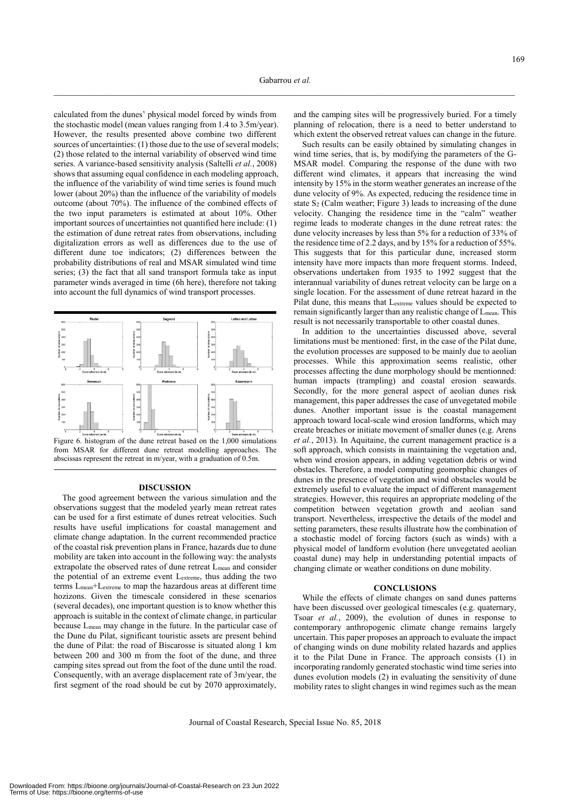calculated from the dunes' physical model forced by winds from the stochastic model (mean values ranging from 1.4 to 3.5m/year). However, the results presented above combine two different sources of uncertainties: (1) those due to the use of several models; (2) those related to the internal variability of observed wind time series. A variance-based sensitivity analysis (Saltelli *et al.*, 2008) shows that assuming equal confidence in each modeling approach. the influence of the variability of wind time series is found much lower (about 20%) than the influence of the variability of models outcome (about 70%). The influence of the combined effects of the two input parameters is estimated at about 10%. Other important sources of uncertainties not quantified here include: (1) the estimation of dune retreat rates from observations, including digitalization errors as well as differences due to the use of different dune toe indicators; (2) differences between the probability distributions of real and MSAR simulated wind time series; (3) the fact that all sand transport formula take as input parameter winds averaged in time (6h here), therefore not taking into account the full dynamics of wind transport processes.



Figure 6. histogram of the dune retreat based on the 1,000 simulations from MSAR for different dune retreat modelling approaches. The abscissas represent the retreat in m/year, with a graduation of 0.5m.

#### **DISCUSSION**

The good agreement between the various simulation and the observations suggest that the modeled yearly mean retreat rates can be used for a first estimate of dunes retreat velocities. Such results have useful implications for coastal management and climate change adaptation. In the current recommended practice of the coastal risk prevention plans in France, hazards due to dune mobility are taken into account in the following way: the analysts extrapolate the observed rates of dune retreat Lmean and consider the potential of an extreme event Lextreme, thus adding the two terms Lmean+Lextreme to map the hazardous areas at different time hozizons. Given the timescale considered in these scenarios (several decades), one important question is to know whether this approach is suitable in the context of climate change, in particular because Lmean may change in the future. In the particular case of the Dune du Pilat, significant touristic assets are present behind the dune of Pilat: the road of Biscarosse is situated along 1 km between 200 and 300 m from the foot of the dune, and three camping sites spread out from the foot of the dune until the road. Consequently, with an average displacement rate of 3m/year, the first segment of the road should be cut by 2070 approximately, and the camping sites will be progressively buried. For a timely planning of relocation, there is a need to better understand to which extent the observed retreat values can change in the future.

Such results can be easily obtained by simulating changes in wind time series, that is, by modifying the parameters of the G-MSAR model. Comparing the response of the dune with two different wind climates, it appears that increasing the wind intensity by 15% in the storm weather generates an increase of the dune velocity of 9%. As expected, reducing the residence time in state  $S_2$  (Calm weather; Figure 3) leads to increasing of the dune velocity. Changing the residence time in the "calm" weather regime leads to moderate changes in the dune retreat rates: the dune velocity increases by less than 5% for a reduction of 33% of the residence time of 2.2 days, and by 15% for a reduction of 55%. This suggests that for this particular dune, increased storm intensity have more impacts than more frequent storms. Indeed, observations undertaken from 1935 to 1992 suggest that the interannual variability of dunes retreat velocity can be large on a single location. For the assessment of dune retreat hazard in the Pilat dune, this means that Lextreme values should be expected to remain significantly larger than any realistic change of L<sub>mean</sub>. This result is not necessarily transportable to other coastal dunes.

In addition to the uncertainties discussed above, several limitations must be mentioned: first, in the case of the Pilat dune, the evolution processes are supposed to be mainly due to aeolian processes. While this approximation seems realistic, other processes affecting the dune morphology should be mentionned: human impacts (trampling) and coastal erosion seawards. Secondly, for the more general aspect of aeolian dunes risk management, this paper addresses the case of unvegetated mobile dunes. Another important issue is the coastal management approach toward local-scale wind erosion landforms, which may create breaches or initiate movement of smaller dunes (e.g. Arens *et al.*, 2013). In Aquitaine, the current management practice is a soft approach, which consists in maintaining the vegetation and, when wind erosion appears, in adding vegetation debris or wind obstacles. Therefore, a model computing geomorphic changes of dunes in the presence of vegetation and wind obstacles would be extremely useful to evaluate the impact of different management strategies. However, this requires an appropriate modeling of the competition between vegetation growth and aeolian sand transport. Nevertheless, irrespective the details of the model and setting parameters, these results illustrate how the combination of a stochastic model of forcing factors (such as winds) with a physical model of landform evolution (here unvegetated aeolian coastal dune) may help in understanding potential impacts of changing climate or weather conditions on dune mobility.

#### **CONCLUSIONS**

While the effects of climate changes on sand dunes patterns have been discussed over geological timescales (e.g. quaternary, Tsoar *et al.*, 2009), the evolution of dunes in response to contemporary anthropogenic climate change remains largely uncertain. This paper proposes an approach to evaluate the impact of changing winds on dune mobility related hazards and applies it to the Pilat Dune in France. The approach consists (1) in incorporating randomly generated stochastic wind time series into dunes evolution models (2) in evaluating the sensitivity of dune mobility rates to slight changes in wind regimes such as the mean